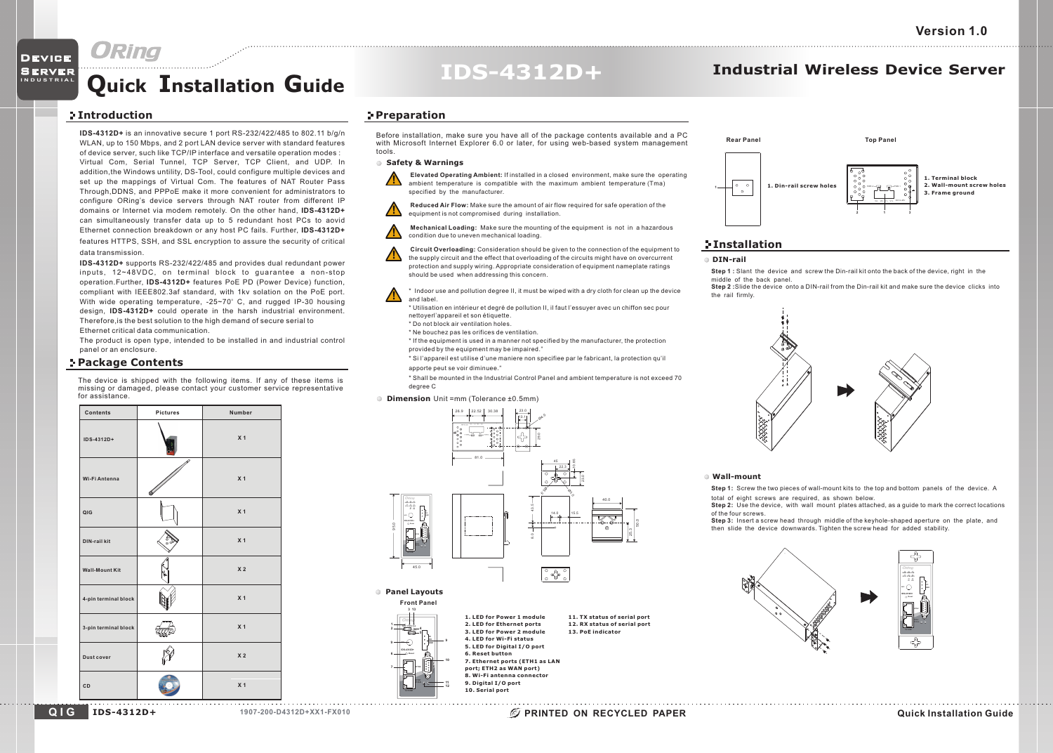**I N D U S T R I A L**DeviceServer

## **Quick <sup>I</sup>nstallation <sup>G</sup>uide IDS-4312D+ Industrial Wireless Device Server**

### **Introduction**

**IDS-4312D+** is an innovative secure <sup>1</sup> port RS-232/422/485 to 802.11 b/g/n WLAN, up to 150 Mbps, and 2 port LAN device server with standard features of device server, such like TCP/IP interface and versatile operation modes : Virtual Com, Serial Tunnel, TCP Server, TCP Client, and UDP. In addition,the Windows untility, DS-Tool, could configure multiple devices and set up the mappings of Virtual Com. The features of NAT Router Pass Through,DDNS, and PPPoE make it more convenient for administrators to configure ORing's device servers through NAT router from different IP domains or Internet via modem remotely. On the other hand, **IDS-4312D+** can simultaneously transfer data up to 5 redundant host PCs to aovid Ethernet connection breakdown or any host PC fails. Further, **IDS-4312D+**features HTTPS, SSH, and SSL encryption to assure the security of critical

### data transmission.

 **IDS-4312D+** supports RS-232/422/485 and provides dual redundant power inputs, 12~48VDC, on terminal block to guarantee <sup>a</sup> non-stopoperation.Further, **IDS-4312D+** features PoE PD (Power Device) function, compliant with IEEE802.3af standard, with 1kv solation on the PoE port. With wide operating temperature, -25~70 $^{\circ}$  C, and rugged IP-30 housing design, **IDS-4312D+** could operate in the harsh industrial environment. Therefore,is the best solution to the high demand of secure serial toEthernet critical data communication.

 The product is open type, intended to be installed in and industrial control panel or an enclosure.

### **Package Contents**

The device is shipped with the following items. If any of these items is missing or damaged, please contact your customer service representativefor assistance.



### **Preparation**

Before installation, make sure you have all of the package contents available and <sup>a</sup> PC with Microsoft Internet Explorer 6.0 or later, for using web-based system management tools.

### **Safety & Warnings**

**Elevated Operating Ambient:** If installed in a closed environment, make sure the operating ambient temperature is compatible with the maximum ambient temperature (Tma)specified by the manufacturer.

**Reduced Air Flow:** Make sure the amount of air flow required for safe operation of theequipment is not compromised during installation.

**Mechanical Loading:** Make sure the mounting of the equipment is not in a hazardouscondition due to uneven mechanical loading.



**Circuit Overloading:** Consideration should be given to the connection of the equipment tothe supply circuit and the effect that overloading of the circuits might have on overcurrent protection and supply wiring. Appropriate consideration of equipment nameplate ratingsshould be used when addressing this concern.

\* Indoor use and pollution degree II, it must be wiped with a dry cloth for clean up the deviceand label.

- \* Utilisation en intérieur et degré de pollution II, il faut l'essuyer avec un chiffon sec pournettoyerl'appareil et son étiquette.
- \* Do not block air ventilation holes.
- \* Ne bouchez pas les orifices de ventilation.
- \* If the equipment is used in a manner not specified by the manufacturer, the protectionprovided by the equipment may be impaired."
- \* Si l'appareil est utilise d'une maniere non specifiee par le fabricant, la protection qu'ilapporte peut se voir diminuee."
- \* Shall be mounted in the Industrial Control Panel and ambient temperature is not exceed 70degree C
- **Dimension** Unit =mm (Tolerance ±0.5mm)



**1. LED for Power 1 module2. LED for Ethernet ports**



**PWR1 PWR2 PoEETH1ETH2 WIFI**

**<sup>13</sup>**

**4**

**Front Panel**

**IDS-4312D+**



50.0



### **Installation**

### **DIN-rail**

**Step 1 :** Slant the device and screw the Din-rail kit onto the back of the device, right in themiddle of the back panel.

 **Step 2 :**Slide the device onto a DIN-rail from the Din-rail kit and make sure the device clicks intothe rail firmly.



### **Wall-mount**

**Step 1:** Screw the two pieces of wall-mount kits to the top and bottom panels of the device. Atotal of eight screws are required, as shown below.

**Step 2:** Use the device, with wall mount plates attached, as a guide to mark the correct locationsof the four screws.

 **Step 3:** Insert a screw head through middle of the keyhole-shaped aperture on the plate, andthen slide the device downwards. Tighten the screw head for added stability.



**Q I GIDS-4312D+**